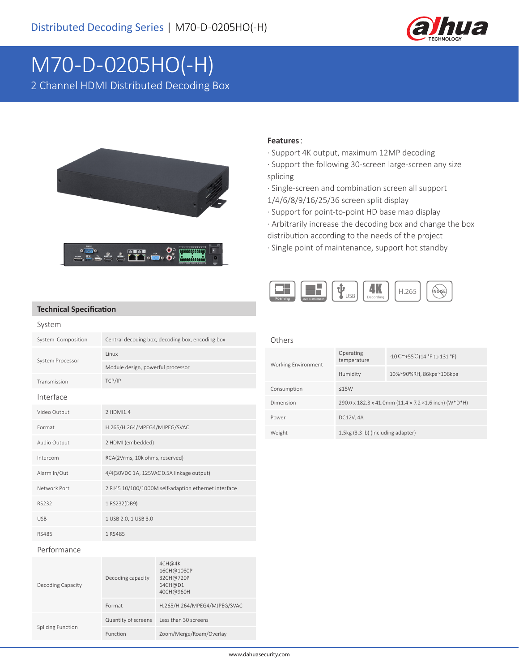

# M70-D-0205HO(-H)

2 Channel HDMI Distributed Decoding Box



### **Features**:

- · Support 4K output, maximum 12MP decoding
- · Support the following 30-screen large-screen any size splicing
- · Single-screen and combination screen all support 1/4/6/8/9/16/25/36 screen split display
- · Support for point-to-point HD base map display
- · Arbitrarily increase the decoding box and change the box
- distribution according to the needs of the project
- · Single point of maintenance, support hot standby



#### **Technical Specification**

| System             |                                                      |
|--------------------|------------------------------------------------------|
| System Composition | Central decoding box, decoding box, encoding box     |
| System Processor   | <b>linux</b>                                         |
|                    | Module design, powerful processor                    |
| Transmission       | TCP/IP                                               |
| Interface          |                                                      |
| Video Output       | 2 HDMI1.4                                            |
| Format             | H.265/H.264/MPEG4/MJPEG/SVAC                         |
| Audio Output       | 2 HDMI (embedded)                                    |
| Intercom           | RCA(2Vrms, 10k ohms, reserved)                       |
| Alarm In/Out       | 4/4(30VDC 1A, 125VAC 0.5A linkage output)            |
| Network Port       | 2 RJ45 10/100/1000M self-adaption ethernet interface |
| RS232              | 1 RS232(DB9)                                         |
| <b>USB</b>         | 1 USB 2.0, 1 USB 3.0                                 |
| <b>RS485</b>       | 1 RS485                                              |

## Others

| Working Environment | Operating<br>temperature                              | $-10^{\circ}$ C ~+55 C (14 °F to 131 °F) |  |
|---------------------|-------------------------------------------------------|------------------------------------------|--|
|                     | Humidity                                              | 10%~90%RH, 86kpa~106kpa                  |  |
| Consumption         | <15W                                                  |                                          |  |
| Dimension           | 290.0 x 182.3 x 41.0mm (11.4 x 7.2 x1.6 inch) (W*D*H) |                                          |  |
| Power               | DC12V, 4A                                             |                                          |  |
| Weight              | 1.5kg (3.3 lb) (Including adapter)                    |                                          |  |

#### Performance

| Decoding Capacity        | Decoding capacity   | 4CH@4K<br>16CH@1080P<br>32CH@720P<br>64CH@D1<br>40CH@960H |
|--------------------------|---------------------|-----------------------------------------------------------|
|                          | Format              | H.265/H.264/MPEG4/MJPEG/SVAC                              |
| <b>Splicing Function</b> | Quantity of screens | Less than 30 screens                                      |
|                          | Function            | Zoom/Merge/Roam/Overlay                                   |